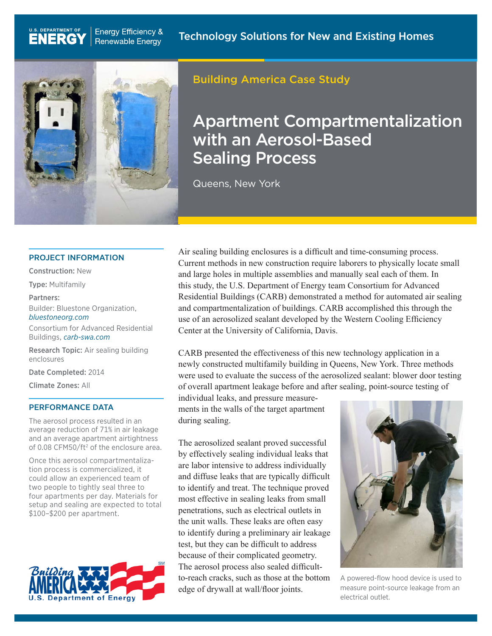

**Energy Efficiency &** 

**Renewable Energy** 

## Building America Case Study

# Apartment Compartmentalization with an Aerosol-Based **Sealing Process**

Queens, New York

#### PROJECT INFORMATION

Construction: New

U.S. DEPARTMENT OF

**ENERGY** 

Type: Multifamily

Partners:

Builder: Bluestone Organization, *[bluestoneorg.com](http://bluestoneorg.com)*

Consortium for Advanced Residential Buildings, *[carb-swa.com](http://carb-swa.com)*

Research Topic: Air sealing building enclosures

Date Completed: 2014

Climate Zones: All

#### PERFORMANCE DATA

The aerosol process resulted in an average reduction of 71% in air leakage and an average apartment airtightness of 0.08 CFM50/ft<sup>2</sup> of the enclosure area.

Once this aerosol compartmentalization process is commercialized, it could allow an experienced team of two people to tightly seal three to four apartments per day. Materials for setup and sealing are expected to total \$100–\$200 per apartment.



Air sealing building enclosures is a difficult and time-consuming process. Current methods in new construction require laborers to physically locate small and large holes in multiple assemblies and manually seal each of them. In this study, the U.S. Department of Energy team Consortium for Advanced Residential Buildings (CARB) demonstrated a method for automated air sealing and compartmentalization of buildings. CARB accomplished this through the use of an aerosolized sealant developed by the Western Cooling Efficiency Center at the University of California, Davis.

CARB presented the effectiveness of this new technology application in a newly constructed multifamily building in Queens, New York. Three methods were used to evaluate the success of the aerosolized sealant: blower door testing of overall apartment leakage before and after sealing, point-source testing of

individual leaks, and pressure measurements in the walls of the target apartment during sealing.

The aerosolized sealant proved successful by effectively sealing individual leaks that are labor intensive to address individually and diffuse leaks that are typically difficult to identify and treat. The technique proved most effective in sealing leaks from small penetrations, such as electrical outlets in the unit walls. These leaks are often easy to identify during a preliminary air leakage test, but they can be difficult to address because of their complicated geometry. The aerosol process also sealed difficultto-reach cracks, such as those at the bottom edge of drywall at wall/floor joints.



A powered-flow hood device is used to measure point-source leakage from an electrical outlet.